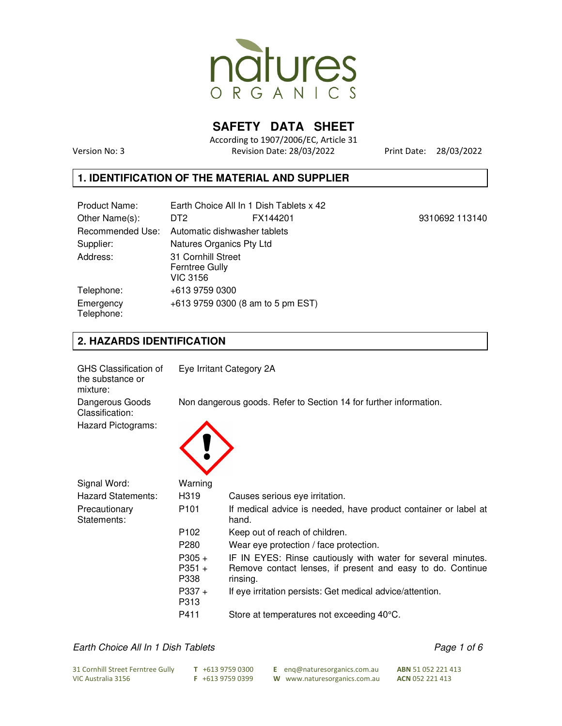

**SAFETY DATA SHEET** 

According to 1907/2006/EC, Article 31 Version No: 3 Revision Date: 28/03/2022 Print Date: 28/03/2022

#### **1. IDENTIFICATION OF THE MATERIAL AND SUPPLIER**

| Product Name:           |                                                         | Earth Choice All In 1 Dish Tablets x 42 |                |
|-------------------------|---------------------------------------------------------|-----------------------------------------|----------------|
| Other Name(s):          | DT <sub>2</sub>                                         | FX144201                                | 9310692 113140 |
| Recommended Use:        |                                                         | Automatic dishwasher tablets            |                |
| Supplier:               | Natures Organics Pty Ltd                                |                                         |                |
| Address:                | 31 Cornhill Street<br><b>Ferntree Gully</b><br>VIC 3156 |                                         |                |
| Telephone:              | +613 9759 0300                                          |                                         |                |
| Emergency<br>Telephone: |                                                         | +613 9759 0300 (8 am to 5 pm EST)       |                |

## **2. HAZARDS IDENTIFICATION**

| GHS Classification of<br>the substance or<br>mixture: |                                                                   | Eye Irritant Category 2A                                                                                                               |  |
|-------------------------------------------------------|-------------------------------------------------------------------|----------------------------------------------------------------------------------------------------------------------------------------|--|
| Dangerous Goods<br>Classification:                    | Non dangerous goods. Refer to Section 14 for further information. |                                                                                                                                        |  |
| Hazard Pictograms:                                    |                                                                   |                                                                                                                                        |  |
| Signal Word:                                          | Warning                                                           |                                                                                                                                        |  |
| <b>Hazard Statements:</b>                             | H <sub>3</sub> 19                                                 | Causes serious eye irritation.                                                                                                         |  |
| Precautionary<br>Statements:                          | P <sub>101</sub>                                                  | If medical advice is needed, have product container or label at<br>hand.                                                               |  |
|                                                       | P <sub>102</sub>                                                  | Keep out of reach of children.                                                                                                         |  |
|                                                       | P <sub>280</sub>                                                  | Wear eye protection / face protection.                                                                                                 |  |
|                                                       | $P305 +$<br>$P351 +$<br>P338                                      | IF IN EYES: Rinse cautiously with water for several minutes.<br>Remove contact lenses, if present and easy to do. Continue<br>rinsing. |  |
|                                                       | $P337 +$<br>P313                                                  | If eye irritation persists: Get medical advice/attention.                                                                              |  |
|                                                       | P411                                                              | Store at temperatures not exceeding 40°C.                                                                                              |  |

### *Earth Choice All In 1 Dish Tablets Page 1 of 6*

| 31 Cornhill Street Ferntree Gully | $T$ +613 9759 0300 | E eng@naturesorganics.com.au | <b>ABN</b> 51 052 221 413 |
|-----------------------------------|--------------------|------------------------------|---------------------------|
| VIC Australia 3156                | $F + 61397590399$  | W www.naturesorganics.com.au | ACN 052 221 413           |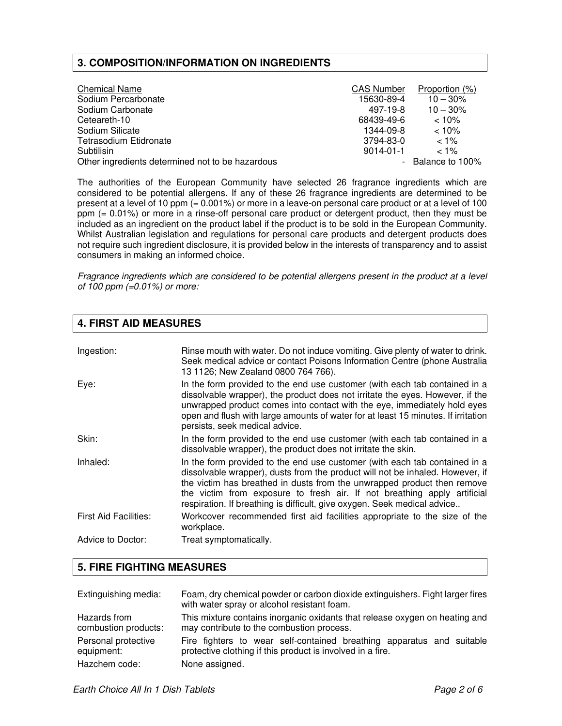## **3. COMPOSITION/INFORMATION ON INGREDIENTS**

| <b>Chemical Name</b>                             | <b>CAS Number</b> | Proportion (%)    |
|--------------------------------------------------|-------------------|-------------------|
| Sodium Percarbonate                              | 15630-89-4        | $10 - 30%$        |
| Sodium Carbonate                                 | 497-19-8          | $10 - 30%$        |
| Ceteareth-10                                     | 68439-49-6        | $< 10\%$          |
| Sodium Silicate                                  | 1344-09-8         | $< 10\%$          |
| Tetrasodium Etidronate                           | 3794-83-0         | $< 1\%$           |
| Subtilisin                                       | $9014 - 01 - 1$   | $< 1\%$           |
| Other ingredients determined not to be hazardous |                   | - Balance to 100% |

The authorities of the European Community have selected 26 fragrance ingredients which are considered to be potential allergens. If any of these 26 fragrance ingredients are determined to be present at a level of 10 ppm (= 0.001%) or more in a leave-on personal care product or at a level of 100 ppm (= 0.01%) or more in a rinse-off personal care product or detergent product, then they must be included as an ingredient on the product label if the product is to be sold in the European Community. Whilst Australian legislation and regulations for personal care products and detergent products does not require such ingredient disclosure, it is provided below in the interests of transparency and to assist consumers in making an informed choice.

*Fragrance ingredients which are considered to be potential allergens present in the product at a level of 100 ppm (=0.01%) or more:*

## **4. FIRST AID MEASURES**

| Ingestion:                   | Rinse mouth with water. Do not induce vomiting. Give plenty of water to drink.<br>Seek medical advice or contact Poisons Information Centre (phone Australia<br>13 1126; New Zealand 0800 764 766).                                                                                                                                                                                            |
|------------------------------|------------------------------------------------------------------------------------------------------------------------------------------------------------------------------------------------------------------------------------------------------------------------------------------------------------------------------------------------------------------------------------------------|
| Eye:                         | In the form provided to the end use customer (with each tab contained in a<br>dissolvable wrapper), the product does not irritate the eyes. However, if the<br>unwrapped product comes into contact with the eye, immediately hold eyes<br>open and flush with large amounts of water for at least 15 minutes. If irritation<br>persists, seek medical advice.                                 |
| Skin:                        | In the form provided to the end use customer (with each tab contained in a<br>dissolvable wrapper), the product does not irritate the skin.                                                                                                                                                                                                                                                    |
| Inhaled:                     | In the form provided to the end use customer (with each tab contained in a<br>dissolvable wrapper), dusts from the product will not be inhaled. However, if<br>the victim has breathed in dusts from the unwrapped product then remove<br>the victim from exposure to fresh air. If not breathing apply artificial<br>respiration. If breathing is difficult, give oxygen. Seek medical advice |
| <b>First Aid Facilities:</b> | Workcover recommended first aid facilities appropriate to the size of the<br>workplace.                                                                                                                                                                                                                                                                                                        |
| Advice to Doctor:            | Treat symptomatically.                                                                                                                                                                                                                                                                                                                                                                         |

## **5. FIRE FIGHTING MEASURES**

| Extinguishing media: | Foam, dry chemical powder or carbon dioxide extinguishers. Fight larger fires<br>with water spray or alcohol resistant foam. |
|----------------------|------------------------------------------------------------------------------------------------------------------------------|
| Hazards from         | This mixture contains inorganic oxidants that release oxygen on heating and                                                  |
| combustion products: | may contribute to the combustion process.                                                                                    |
| Personal protective  | Fire fighters to wear self-contained breathing apparatus and suitable                                                        |
| equipment:           | protective clothing if this product is involved in a fire.                                                                   |
| Hazchem code:        | None assigned.                                                                                                               |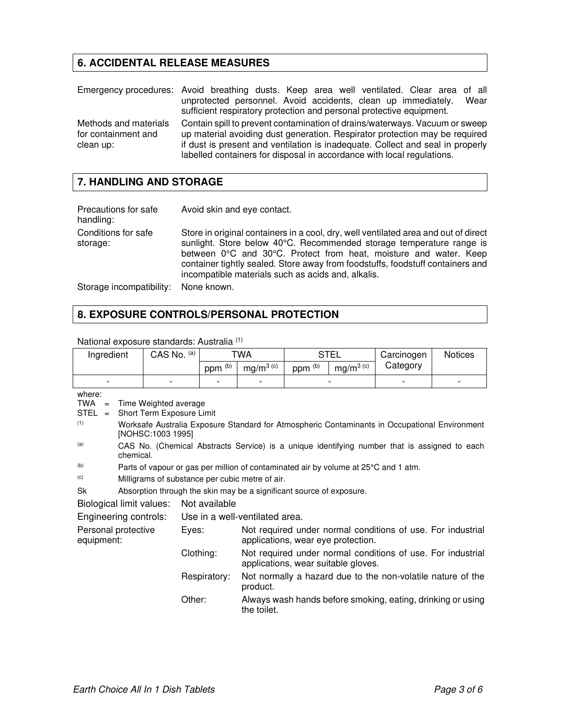# **6. ACCIDENTAL RELEASE MEASURES**

|                                                           | Emergency procedures: Avoid breathing dusts. Keep area well ventilated. Clear area of all<br>unprotected personnel. Avoid accidents, clean up immediately.<br>Wear<br>sufficient respiratory protection and personal protective equipment.                                                                             |
|-----------------------------------------------------------|------------------------------------------------------------------------------------------------------------------------------------------------------------------------------------------------------------------------------------------------------------------------------------------------------------------------|
| Methods and materials<br>for containment and<br>clean up: | Contain spill to prevent contamination of drains/waterways. Vacuum or sweep<br>up material avoiding dust generation. Respirator protection may be required<br>if dust is present and ventilation is inadequate. Collect and seal in properly<br>labelled containers for disposal in accordance with local regulations. |

# **7. HANDLING AND STORAGE**

| Precautions for safe<br>handling: | Avoid skin and eye contact.                                                                                                                                                                                                                                                                                                                                              |
|-----------------------------------|--------------------------------------------------------------------------------------------------------------------------------------------------------------------------------------------------------------------------------------------------------------------------------------------------------------------------------------------------------------------------|
| Conditions for safe<br>storage:   | Store in original containers in a cool, dry, well ventilated area and out of direct<br>sunlight. Store below 40°C. Recommended storage temperature range is<br>between 0°C and 30°C. Protect from heat, moisture and water. Keep<br>container tightly sealed. Store away from foodstuffs, foodstuff containers and<br>incompatible materials such as acids and, alkalis. |
| Storage incompatibility:          | None known.                                                                                                                                                                                                                                                                                                                                                              |

# **8. EXPOSURE CONTROLS/PERSONAL PROTECTION**

| Ingredient                                                                                                                                                                                                                                                                                                                                                                                                                                                                                                                                                                    |  | CAS No. (a) |               | TWA                |                                | <b>STEL</b>        |                                     | Carcinogen                                                  | <b>Notices</b> |
|-------------------------------------------------------------------------------------------------------------------------------------------------------------------------------------------------------------------------------------------------------------------------------------------------------------------------------------------------------------------------------------------------------------------------------------------------------------------------------------------------------------------------------------------------------------------------------|--|-------------|---------------|--------------------|--------------------------------|--------------------|-------------------------------------|-------------------------------------------------------------|----------------|
|                                                                                                                                                                                                                                                                                                                                                                                                                                                                                                                                                                               |  |             |               | ppm <sup>(b)</sup> | $mg/m^{3}$ (c)                 | ppm <sup>(b)</sup> | $mg/m^3$ (c)                        | Category                                                    |                |
|                                                                                                                                                                                                                                                                                                                                                                                                                                                                                                                                                                               |  |             |               |                    |                                |                    |                                     |                                                             |                |
| where:<br>TWA<br>Time Weighted average<br>$=$<br>$STEL =$<br>Short Term Exposure Limit<br>(1)<br>Worksafe Australia Exposure Standard for Atmospheric Contaminants in Occupational Environment<br>[NOHSC:1003 1995]<br>(a)<br>CAS No. (Chemical Abstracts Service) is a unique identifying number that is assigned to each<br>chemical.<br>(b)<br>Parts of vapour or gas per million of contaminated air by volume at 25°C and 1 atm.<br>(c)<br>Milligrams of substance per cubic metre of air.<br>Sk<br>Absorption through the skin may be a significant source of exposure. |  |             |               |                    |                                |                    |                                     |                                                             |                |
| Biological limit values:                                                                                                                                                                                                                                                                                                                                                                                                                                                                                                                                                      |  |             | Not available |                    |                                |                    |                                     |                                                             |                |
| Engineering controls:                                                                                                                                                                                                                                                                                                                                                                                                                                                                                                                                                         |  |             |               |                    | Use in a well-ventilated area. |                    |                                     |                                                             |                |
| Personal protective<br>equipment:                                                                                                                                                                                                                                                                                                                                                                                                                                                                                                                                             |  |             | Eyes:         |                    |                                |                    | applications, wear eye protection.  | Not required under normal conditions of use. For industrial |                |
|                                                                                                                                                                                                                                                                                                                                                                                                                                                                                                                                                                               |  |             | Clothing:     |                    |                                |                    | applications, wear suitable gloves. | Not required under normal conditions of use. For industrial |                |
|                                                                                                                                                                                                                                                                                                                                                                                                                                                                                                                                                                               |  |             |               | Respiratory:       | product.                       |                    |                                     | Not normally a hazard due to the non-volatile nature of the |                |
|                                                                                                                                                                                                                                                                                                                                                                                                                                                                                                                                                                               |  |             | Other:        |                    | the toilet.                    |                    |                                     | Always wash hands before smoking, eating, drinking or using |                |

National exposure standards: Australia (1)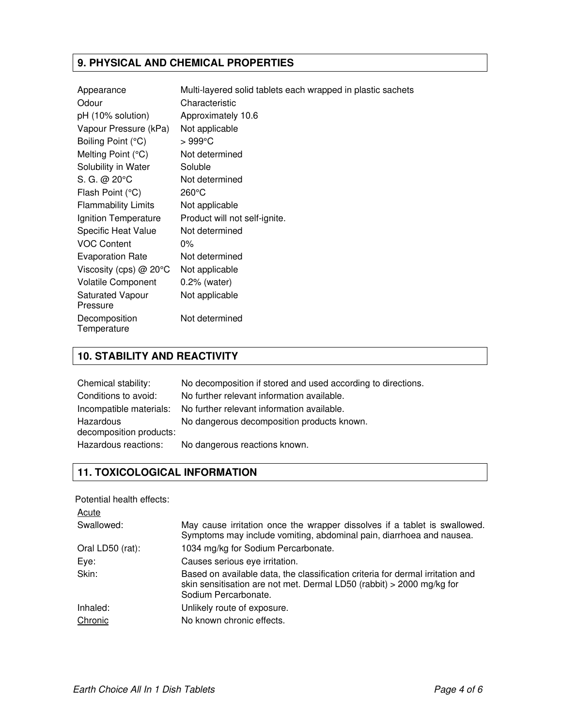# **9. PHYSICAL AND CHEMICAL PROPERTIES**

| Appearance                          | Multi-layered solid tablets each wrapped in plastic sachets |
|-------------------------------------|-------------------------------------------------------------|
| Odour                               | Characteristic                                              |
| pH (10% solution)                   | Approximately 10.6                                          |
| Vapour Pressure (kPa)               | Not applicable                                              |
| Boiling Point (°C)                  | $>999^{\circ}$ C                                            |
| Melting Point (°C)                  | Not determined                                              |
| Solubility in Water                 | Soluble                                                     |
| S. G. @ 20°C                        | Not determined                                              |
| Flash Point (°C)                    | $260^{\circ}$ C                                             |
| <b>Flammability Limits</b>          | Not applicable                                              |
| Ignition Temperature                | Product will not self-ignite.                               |
| <b>Specific Heat Value</b>          | Not determined                                              |
| <b>VOC Content</b>                  | $0\%$                                                       |
| <b>Evaporation Rate</b>             | Not determined                                              |
| Viscosity (cps) $@$ 20 $°C$         | Not applicable                                              |
| <b>Volatile Component</b>           | $0.2\%$ (water)                                             |
| <b>Saturated Vapour</b><br>Pressure | Not applicable                                              |
| Decomposition<br>Temperature        | Not determined                                              |

## **10. STABILITY AND REACTIVITY**

| Chemical stability:                  | No decomposition if stored and used according to directions. |
|--------------------------------------|--------------------------------------------------------------|
| Conditions to avoid:                 | No further relevant information available.                   |
| Incompatible materials:              | No further relevant information available.                   |
| Hazardous<br>decomposition products: | No dangerous decomposition products known.                   |
| Hazardous reactions:                 | No dangerous reactions known.                                |

# **11. TOXICOLOGICAL INFORMATION**

Potential health effects:

| <b>Acute</b>     |                                                                                                                                                                                 |
|------------------|---------------------------------------------------------------------------------------------------------------------------------------------------------------------------------|
| Swallowed:       | May cause irritation once the wrapper dissolves if a tablet is swallowed.<br>Symptoms may include vomiting, abdominal pain, diarrhoea and nausea.                               |
| Oral LD50 (rat): | 1034 mg/kg for Sodium Percarbonate.                                                                                                                                             |
| Eye:             | Causes serious eye irritation.                                                                                                                                                  |
| Skin:            | Based on available data, the classification criteria for dermal irritation and<br>skin sensitisation are not met. Dermal LD50 (rabbit) > 2000 mg/kg for<br>Sodium Percarbonate. |
| Inhaled:         | Unlikely route of exposure.                                                                                                                                                     |
| Chronic          | No known chronic effects.                                                                                                                                                       |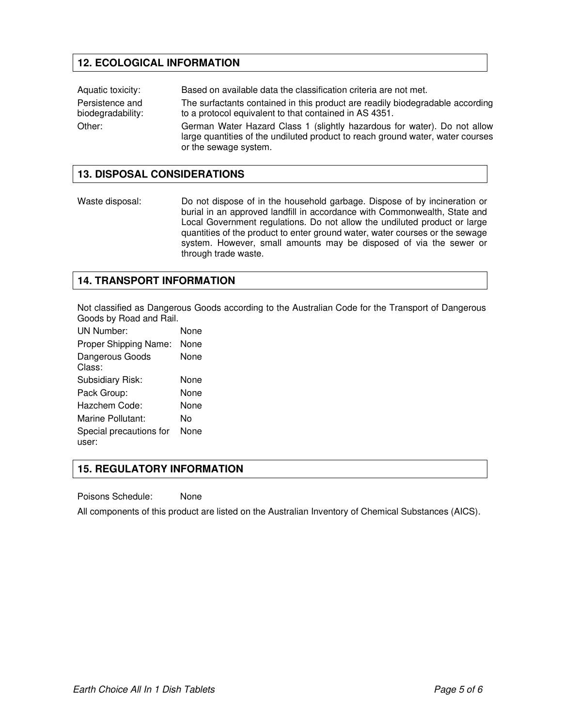# **12. ECOLOGICAL INFORMATION**

Aquatic toxicity: Based on available data the classification criteria are not met. Persistence and biodegradability: The surfactants contained in this product are readily biodegradable according to a protocol equivalent to that contained in AS 4351. Other: German Water Hazard Class 1 (slightly hazardous for water). Do not allow large quantities of the undiluted product to reach ground water, water courses or the sewage system.

### **13. DISPOSAL CONSIDERATIONS**

Waste disposal: Do not dispose of in the household garbage. Dispose of by incineration or burial in an approved landfill in accordance with Commonwealth, State and Local Government regulations. Do not allow the undiluted product or large quantities of the product to enter ground water, water courses or the sewage system. However, small amounts may be disposed of via the sewer or through trade waste.

#### **14. TRANSPORT INFORMATION**

Not classified as Dangerous Goods according to the Australian Code for the Transport of Dangerous Goods by Road and Rail.

UN Number: None Proper Shipping Name: None Dangerous Goods Class: None Subsidiary Risk: None Pack Group: None Hazchem Code: None Marine Pollutant: No Special precautions for user: None

## **15. REGULATORY INFORMATION**

Poisons Schedule: None

All components of this product are listed on the Australian Inventory of Chemical Substances (AICS).